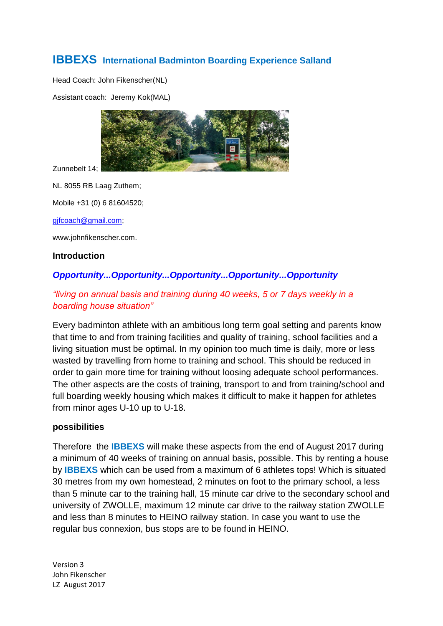# **IBBEXS International Badminton Boarding Experience Salland**

Head Coach: John Fikenscher(NL)

Assistant coach: Jeremy Kok(MAL)



Zunnebelt 14;

NL 8055 RB Laag Zuthem;

Mobile +31 (0) 6 81604520;

[gjfcoach@gmail.com;](mailto:gjfcoach@gmail.com)

www.johnfikenscher.com.

#### **Introduction**

## *Opportunity...Opportunity...Opportunity...Opportunity...Opportunity*

## *"living on annual basis and training during 40 weeks, 5 or 7 days weekly in a boarding house situation"*

Every badminton athlete with an ambitious long term goal setting and parents know that time to and from training facilities and quality of training, school facilities and a living situation must be optimal. In my opinion too much time is daily, more or less wasted by travelling from home to training and school. This should be reduced in order to gain more time for training without loosing adequate school performances. The other aspects are the costs of training, transport to and from training/school and full boarding weekly housing which makes it difficult to make it happen for athletes from minor ages U-10 up to U-18.

#### **possibilities**

Therefore the **IBBEXS** will make these aspects from the end of August 2017 during a minimum of 40 weeks of training on annual basis, possible. This by renting a house by **IBBEXS** which can be used from a maximum of 6 athletes tops! Which is situated 30 metres from my own homestead, 2 minutes on foot to the primary school, a less than 5 minute car to the training hall, 15 minute car drive to the secondary school and university of ZWOLLE, maximum 12 minute car drive to the railway station ZWOLLE and less than 8 minutes to HEINO railway station. In case you want to use the regular bus connexion, bus stops are to be found in HEINO.

Version 3 John Fikenscher LZ August 2017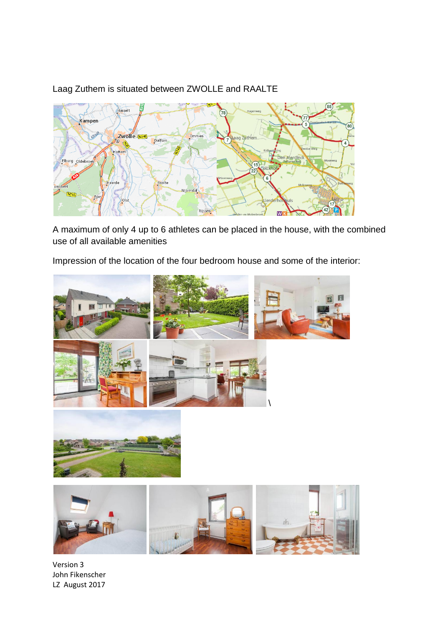

## Laag Zuthem is situated between ZWOLLE and RAALTE

A maximum of only 4 up to 6 athletes can be placed in the house, with the combined use of all available amenities

Impression of the location of the four bedroom house and some of the interior:





Version 3 John Fikenscher LZ August 2017